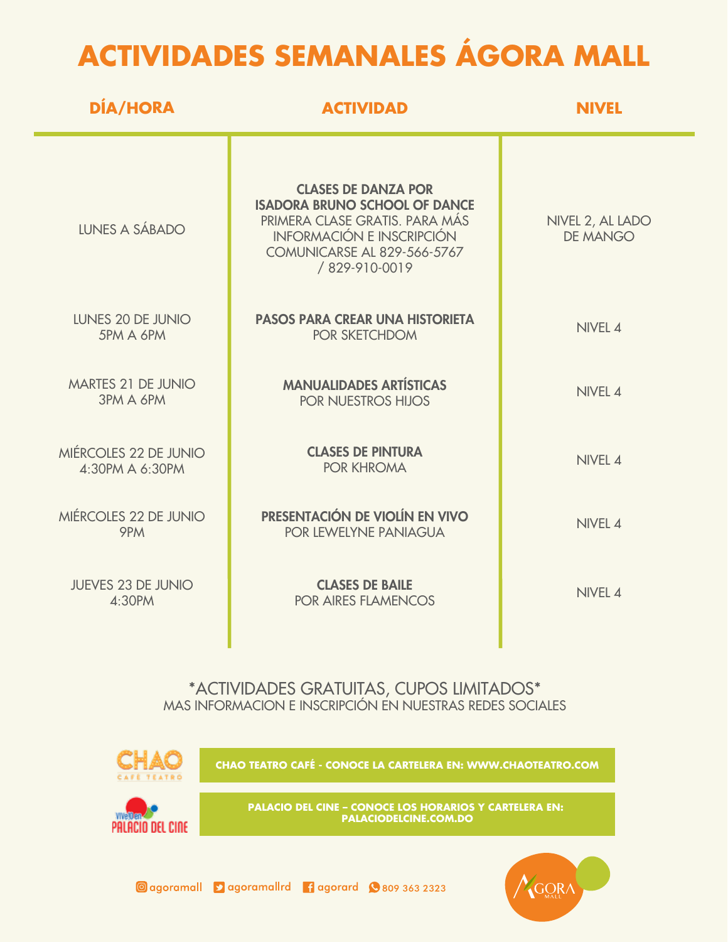## **ACTIVIDADES SEMANALES ÁGORA MALL**

| <b>DÍA/HORA</b>                               | <b>ACTIVIDAD</b>                                                                                                                                                                         | <b>NIVEL</b>                        |
|-----------------------------------------------|------------------------------------------------------------------------------------------------------------------------------------------------------------------------------------------|-------------------------------------|
| LUNES A SÁBADO                                | <b>CLASES DE DANZA POR</b><br><b>ISADORA BRUNO SCHOOL OF DANCE</b><br>PRIMERA CLASE GRATIS. PARA MÁS<br><b>INFORMACIÓN E INSCRIPCIÓN</b><br>COMUNICARSE AL 829-566-5767<br>/829-910-0019 | NIVEL 2, AL LADO<br><b>DE MANGO</b> |
| LUNES 20 DE JUNIO<br>5PM A 6PM                | <b>PASOS PARA CREAR UNA HISTORIETA</b><br>POR SKETCHDOM                                                                                                                                  | NIVEL 4                             |
| <b>MARTES 21 DE JUNIO</b><br><b>3PM A 6PM</b> | <b>MANUALIDADES ARTÍSTICAS</b><br><b>POR NUESTROS HIJOS</b>                                                                                                                              | NIVEL 4                             |
| MIÉRCOLES 22 DE JUNIO<br>4:30PM A 6:30PM      | <b>CLASES DE PINTURA</b><br><b>POR KHROMA</b>                                                                                                                                            | NIVEL 4                             |
| MIÉRCOLES 22 DE JUNIO<br>9PM                  | PRESENTACIÓN DE VIOLÍN EN VIVO<br>POR LEWELYNE PANIAGUA                                                                                                                                  | NIVEL 4                             |
| <b>JUEVES 23 DE JUNIO</b><br>4:30PM           | <b>CLASES DE BAILE</b><br><b>POR AIRES FLAMENCOS</b>                                                                                                                                     | NIVEL 4                             |
|                                               |                                                                                                                                                                                          |                                     |

\*ACTIVIDADES GRATUITAS, CUPOS LIMITADOS\* MAS INFORMACION E INSCRIPCIÓN EN NUESTRAS REDES SOCIALES